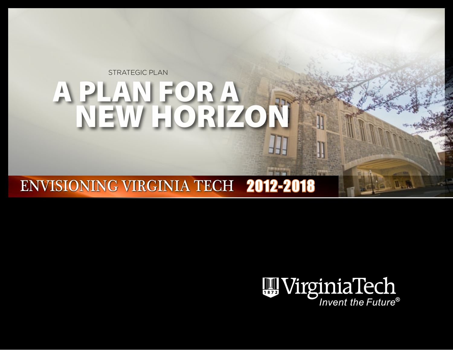# A PLAN FOR A NEW HORIZON STRATEGIC PLAN

## ENVISIONING VIRGINIA TECH 2012-2018

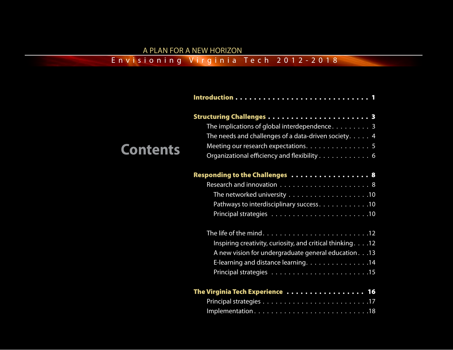#### A PLAN FOR A NEW HORIZON

#### <span id="page-1-0"></span>Envisioning Virginia Tech 2012-2018

|                 | The implications of global interdependence. $\ldots \ldots \ldots$ |
|-----------------|--------------------------------------------------------------------|
|                 | The needs and challenges of a data-driven society. $\dots$ . 4     |
| <b>Contents</b> | Meeting our research expectations. 5                               |
|                 | Organizational efficiency and flexibility 6                        |
|                 | Responding to the Challenges  8                                    |
|                 |                                                                    |
|                 |                                                                    |
|                 | Pathways to interdisciplinary success. 10                          |
|                 |                                                                    |
|                 |                                                                    |
|                 | Inspiring creativity, curiosity, and critical thinking. 12         |
|                 | A new vision for undergraduate general education 13                |
|                 | E-learning and distance learning. 14                               |
|                 |                                                                    |
|                 | The Virginia Tech Experience  16                                   |
|                 |                                                                    |
|                 | Implementation18                                                   |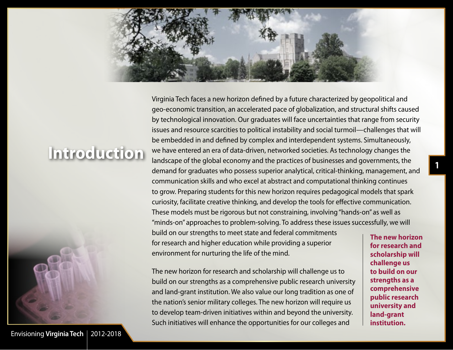<span id="page-2-0"></span>

# **Introduction**



Envisioning **[Virginia Tech](#page-1-0)** 2012-2018

Virginia Tech faces a new horizon defined by a future characterized by geopolitical and geo-economic transition, an accelerated pace of globalization, and structural shifts caused by technological innovation. Our graduates will face uncertainties that range from security issues and resource scarcities to political instability and social turmoil—challenges that will be embedded in and defined by complex and interdependent systems. Simultaneously, we have entered an era of data-driven, networked societies. As technology changes the landscape of the global economy and the practices of businesses and governments, the demand for graduates who possess superior analytical, critical-thinking, management, and communication skills and who excel at abstract and computational thinking continues to grow. Preparing students for this new horizon requires pedagogical models that spark curiosity, facilitate creative thinking, and develop the tools for effective communication. These models must be rigorous but not constraining, involving "hands-on" as well as "minds-on" approaches to problem-solving. To address these issues successfully, we will

build on our strengths to meet state and federal commitments for research and higher education while providing a superior environment for nurturing the life of the mind.

The new horizon for research and scholarship will challenge us to build on our strengths as a comprehensive public research university and land-grant institution. We also value our long tradition as one of the nation's senior military colleges. The new horizon will require us to develop team-driven initiatives within and beyond the university. Such initiatives will enhance the opportunities for our colleges and

**The new horizon for research and scholarship will challenge us to build on our strengths as a comprehensive public research university and land-grant institution.**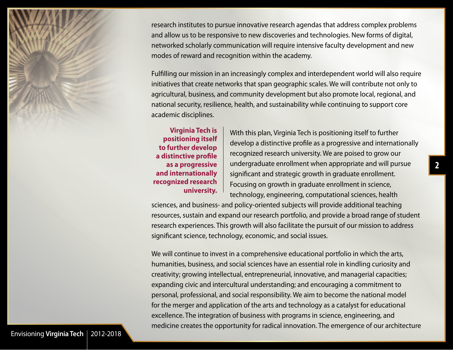research institutes to pursue innovative research agendas that address complex problems and allow us to be responsive to new discoveries and technologies. New forms of digital, networked scholarly communication will require intensive faculty development and new modes of reward and recognition within the academy.

Fulfilling our mission in an increasingly complex and interdependent world will also require initiatives that create networks that span geographic scales. We will contribute not only to agricultural, business, and community development but also promote local, regional, and national security, resilience, health, and sustainability while continuing to support core academic disciplines.

**Virginia Tech is positioning itself to further develop a distinctive profile as a progressive and internationally recognized research university.** 

With this plan, Virginia Tech is positioning itself to further develop a distinctive profile as a progressive and internationally recognized research university. We are poised to grow our undergraduate enrollment when appropriate and will pursue significant and strategic growth in graduate enrollment. Focusing on growth in graduate enrollment in science, technology, engineering, computational sciences, health

sciences, and business- and policy-oriented subjects will provide additional teaching resources, sustain and expand our research portfolio, and provide a broad range of student research experiences. This growth will also facilitate the pursuit of our mission to address significant science, technology, economic, and social issues.

We will continue to invest in a comprehensive educational portfolio in which the arts, humanities, business, and social sciences have an essential role in kindling curiosity and creativity; growing intellectual, entrepreneurial, innovative, and managerial capacities; expanding civic and intercultural understanding; and encouraging a commitment to personal, professional, and social responsibility. We aim to become the national model for the merger and application of the arts and technology as a catalyst for educational excellence. The integration of business with programs in science, engineering, and medicine creates the opportunity for radical innovation. The emergence of our architecture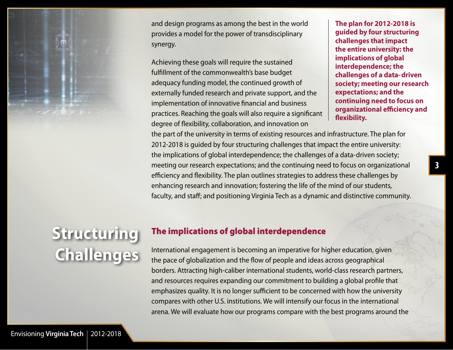<span id="page-4-0"></span>

and design programs as among the best in the world provides a model for the power of transdisciplinary synergy.

Achieving these goals will require the sustained fulfillment of the commonwealth's base budget adequacy funding model, the continued growth of externally funded research and private support, and the implementation of innovative financial and business practices. Reaching the goals will also require a significant degree of flexibility, collaboration, and innovation on

**The plan for 2012-2018 is guided by four structuring challenges that impact the entire university: the implications of global interdependence; the challenges of a data-driven society; meeting our research expectations; and the continuing need to focus on organizational efficiency and flexibility.**

the part of the university in terms of existing resources and infrastructure. The plan for 2012-2018 is guided by four structuring challenges that impact the entire university: the implications of global interdependence; the challenges of a data-driven society; meeting our research expectations; and the continuing need to focus on organizational efficiency and flexibility. The plan outlines strategies to address these challenges by enhancing research and innovation; fostering the life of the mind of our students, faculty, and staff; and positioning Virginia Tech as a dynamic and distinctive community.

# **Structuring Challenges**

### The implications of global interdependence

International engagement is becoming an imperative for higher education, given the pace of globalization and the flow of people and ideas across geographical borders. Attracting high-caliber international students, world-class research partners, and resources requires expanding our commitment to building a global profile that emphasizes quality. It is no longer sufficient to be concerned with how the university compares with other U.S. institutions. We will intensify our focus in the international arena. We will evaluate how our programs compare with the best programs around the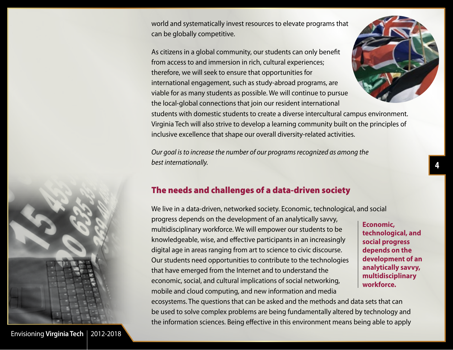<span id="page-5-0"></span>world and systematically invest resources to elevate programs that can be globally competitive.

As citizens in a global community, our students can only benefit from access to and immersion in rich, cultural experiences; therefore, we will seek to ensure that opportunities for international engagement, such as study-abroad programs, are viable for as many students as possible. We will continue to pursue the local-global connections that join our resident international



*Our goal is to increase the number of our programs recognized as among the best internationally.* 

### The needs and challenges of a data-driven society

We live in a data-driven, networked society. Economic, technological, and social progress depends on the development of an analytically savvy, multidisciplinary workforce. We will empower our students to be knowledgeable, wise, and effective participants in an increasingly digital age in areas ranging from art to science to civic discourse. Our students need opportunities to contribute to the technologies that have emerged from the Internet and to understand the economic, social, and cultural implications of social networking, mobile and cloud computing, and new information and media

**Economic, technological, and social progress depends on the development of an analytically savvy, multidisciplinary workforce.**

ecosystems. The questions that can be asked and the methods and data sets that can be used to solve complex problems are being fundamentally altered by technology and the information sciences. Being effective in this environment means being able to apply



Envisioning [Virginia Tech](#page-1-0) | 2012-2018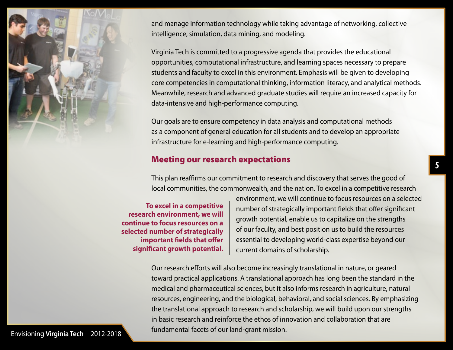<span id="page-6-0"></span>

and manage information technology while taking advantage of networking, collective intelligence, simulation, data mining, and modeling.

Virginia Tech is committed to a progressive agenda that provides the educational opportunities, computational infrastructure, and learning spaces necessary to prepare students and faculty to excel in this environment. Emphasis will be given to developing core competencies in computational thinking, information literacy, and analytical methods. Meanwhile, research and advanced graduate studies will require an increased capacity for data-intensive and high-performance computing.

Our goals are to ensure competency in data analysis and computational methods as a component of general education for all students and to develop an appropriate infrastructure for e-learning and high-performance computing.

### Meeting our research expectations

This plan reaffirms our commitment to research and discovery that serves the good of local communities, the commonwealth, and the nation. To excel in a competitive research

**To excel in a competitive research environment, we will continue to focus resources on a selected number of strategically important fields that offer significant growth potential.**

environment, we will continue to focus resources on a selected number of strategically important fields that offer significant growth potential, enable us to capitalize on the strengths of our faculty, and best position us to build the resources essential to developing world-class expertise beyond our current domains of scholarship.

Our research efforts will also become increasingly translational in nature, or geared toward practical applications. A translational approach has long been the standard in the medical and pharmaceutical sciences, but it also informs research in agriculture, natural resources, engineering, and the biological, behavioral, and social sciences. By emphasizing the translational approach to research and scholarship, we will build upon our strengths in basic research and reinforce the ethos of innovation and collaboration that are fundamental facets of our land-grant mission.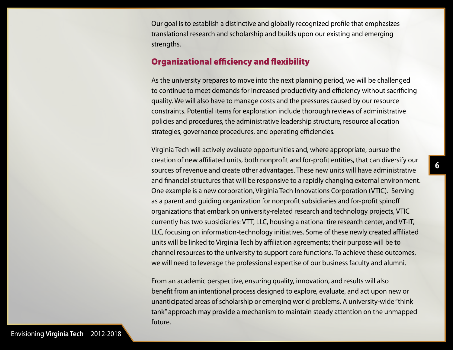<span id="page-7-0"></span>Our goal is to establish a distinctive and globally recognized profile that emphasizes translational research and scholarship and builds upon our existing and emerging strengths.

#### Organizational efficiency and flexibility

As the university prepares to move into the next planning period, we will be challenged to continue to meet demands for increased productivity and efficiency without sacrificing quality. We will also have to manage costs and the pressures caused by our resource constraints. Potential items for exploration include thorough reviews of administrative policies and procedures, the administrative leadership structure, resource allocation strategies, governance procedures, and operating efficiencies.

Virginia Tech will actively evaluate opportunities and, where appropriate, pursue the creation of new affiliated units, both nonprofit and for-profit entities, that can diversify our sources of revenue and create other advantages. These new units will have administrative and financial structures that will be responsive to a rapidly changing external environment. One example is a new corporation, Virginia Tech Innovations Corporation (VTIC). Serving as a parent and guiding organization for nonprofit subsidiaries and for-profit spinoff organizations that embark on university-related research and technology projects, VTIC currently has two subsidiaries: VTT, LLC, housing a national tire research center, and VT-IT, LLC, focusing on information-technology initiatives. Some of these newly created affiliated units will be linked to Virginia Tech by affiliation agreements; their purpose will be to channel resources to the university to support core functions. To achieve these outcomes, we will need to leverage the professional expertise of our business faculty and alumni.

From an academic perspective, ensuring quality, innovation, and results will also benefit from an intentional process designed to explore, evaluate, and act upon new or unanticipated areas of scholarship or emerging world problems. A university-wide "think tank" approach may provide a mechanism to maintain steady attention on the unmapped future.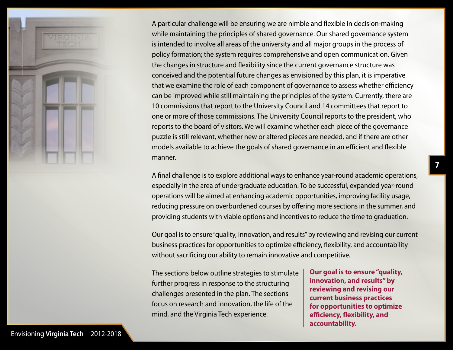

A particular challenge will be ensuring we are nimble and flexible in decision-making while maintaining the principles of shared governance. Our shared governance system is intended to involve all areas of the university and all major groups in the process of policy formation; the system requires comprehensive and open communication. Given the changes in structure and flexibility since the current governance structure was conceived and the potential future changes as envisioned by this plan, it is imperative that we examine the role of each component of governance to assess whether efficiency can be improved while still maintaining the principles of the system. Currently, there are 10 commissions that report to the University Council and 14 committees that report to one or more of those commissions. The University Council reports to the president, who reports to the board of visitors. We will examine whether each piece of the governance puzzle is still relevant, whether new or altered pieces are needed, and if there are other models available to achieve the goals of shared governance in an efficient and flexible manner.

A final challenge is to explore additional ways to enhance year-round academic operations, especially in the area of undergraduate education. To be successful, expanded year-round operations will be aimed at enhancing academic opportunities, improving facility usage, reducing pressure on overburdened courses by offering more sections in the summer, and providing students with viable options and incentives to reduce the time to graduation.

Our goal is to ensure "quality, innovation, and results" by reviewing and revising our current business practices for opportunities to optimize efficiency, flexibility, and accountability without sacrificing our ability to remain innovative and competitive.

The sections below outline strategies to stimulate further progress in response to the structuring challenges presented in the plan. The sections focus on research and innovation, the life of the mind, and the Virginia Tech experience.

**Our goal is to ensure "quality, innovation, and results" by reviewing and revising our current business practices for opportunities to optimize efficiency, flexibility, and accountability.**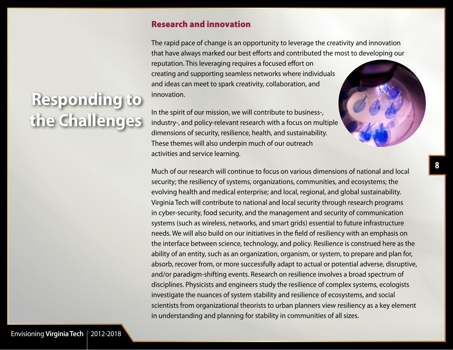### Research and innovation

The rapid pace of change is an opportunity to leverage the creativity and innovation that have always marked our best efforts and contributed the most to developing our reputation. This leveraging requires a focused effort on creating and supporting seamless networks where individuals and ideas can meet to spark creativity, collaboration, and innovation.

In the spirit of our mission, we will contribute to business-, industry-, and policy-relevant research with a focus on multiple dimensions of security, resilience, health, and sustainability. These themes will also underpin much of our outreach activities and service learning.

Much of our research will continue to focus on various dimensions of national and local security; the resiliency of systems, organizations, communities, and ecosystems; the evolving health and medical enterprise; and local, regional, and global sustainability. Virginia Tech will contribute to national and local security through research programs in cyber-security, food security, and the management and security of communication systems (such as wireless, networks, and smart grids) essential to future infrastructure needs. We will also build on our initiatives in the field of resiliency with an emphasis on the interface between science, technology, and policy. Resilience is construed here as the ability of an entity, such as an organization, organism, or system, to prepare and plan for, absorb, recover from, or more successfully adapt to actual or potential adverse, disruptive, and/or paradigm-shifting events. Research on resilience involves a broad spectrum of disciplines. Physicists and engineers study the resilience of complex systems, ecologists investigate the nuances of system stability and resilience of ecosystems, and social scientists from organizational theorists to urban planners view resiliency as a key element in understanding and planning for stability in communities of all sizes.

**8**

# <span id="page-9-0"></span>**Responding to the Challenges**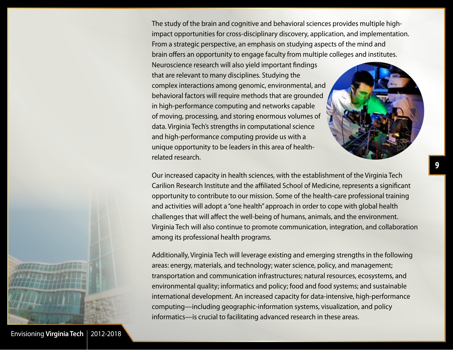The study of the brain and cognitive and behavioral sciences provides multiple highimpact opportunities for cross-disciplinary discovery, application, and implementation. From a strategic perspective, an emphasis on studying aspects of the mind and brain offers an opportunity to engage faculty from multiple colleges and institutes.

Neuroscience research will also yield important findings that are relevant to many disciplines. Studying the complex interactions among genomic, environmental, and behavioral factors will require methods that are grounded in high-performance computing and networks capable of moving, processing, and storing enormous volumes of data. Virginia Tech's strengths in computational science and high-performance computing provide us with a unique opportunity to be leaders in this area of healthrelated research.

Our increased capacity in health sciences, with the establishment of the Virginia Tech Carilion Research Institute and the affiliated School of Medicine, represents a significant opportunity to contribute to our mission. Some of the health-care professional training and activities will adopt a "one health" approach in order to cope with global health challenges that will affect the well-being of humans, animals, and the environment. Virginia Tech will also continue to promote communication, integration, and collaboration among its professional health programs.

Additionally, Virginia Tech will leverage existing and emerging strengths in the following areas: energy, materials, and technology; water science, policy, and management; transportation and communication infrastructures; natural resources, ecosystems, and environmental quality; informatics and policy; food and food systems; and sustainable international development. An increased capacity for data-intensive, high-performance computing—including geographic-information systems, visualization, and policy informatics—is crucial to facilitating advanced research in these areas.



Envisioning [Virginia Tech](#page-1-0) | 2012-2018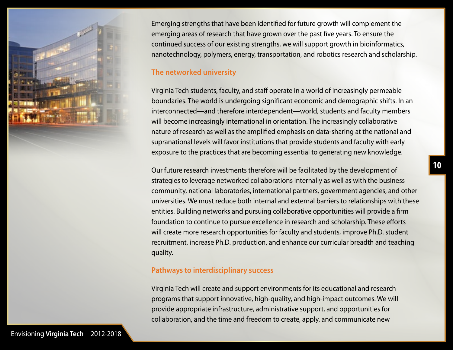<span id="page-11-0"></span>

Emerging strengths that have been identified for future growth will complement the emerging areas of research that have grown over the past five years. To ensure the continued success of our existing strengths, we will support growth in bioinformatics, nanotechnology, polymers, energy, transportation, and robotics research and scholarship.

#### **The networked university**

Virginia Tech students, faculty, and staff operate in a world of increasingly permeable boundaries. The world is undergoing significant economic and demographic shifts. In an interconnected—and therefore interdependent—world, students and faculty members will become increasingly international in orientation. The increasingly collaborative nature of research as well as the amplified emphasis on data-sharing at the national and supranational levels will favor institutions that provide students and faculty with early exposure to the practices that are becoming essential to generating new knowledge.

Our future research investments therefore will be facilitated by the development of strategies to leverage networked collaborations internally as well as with the business community, national laboratories, international partners, government agencies, and other universities. We must reduce both internal and external barriers to relationships with these entities. Building networks and pursuing collaborative opportunities will provide a firm foundation to continue to pursue excellence in research and scholarship. These efforts will create more research opportunities for faculty and students, improve Ph.D. student recruitment, increase Ph.D. production, and enhance our curricular breadth and teaching quality.

#### **Pathways to interdisciplinary success**

Virginia Tech will create and support environments for its educational and research programs that support innovative, high-quality, and high-impact outcomes. We will provide appropriate infrastructure, administrative support, and opportunities for collaboration, and the time and freedom to create, apply, and communicate new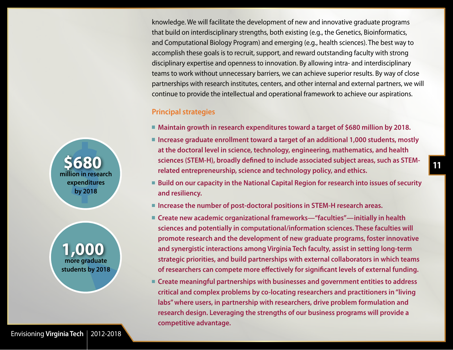knowledge. We will facilitate the development of new and innovative graduate programs that build on interdisciplinary strengths, both existing (e.g., the Genetics, Bioinformatics, and Computational Biology Program) and emerging (e.g., health sciences). The best way to accomplish these goals is to recruit, support, and reward outstanding faculty with strong disciplinary expertise and openness to innovation. By allowing intra- and interdisciplinary teams to work without unnecessary barriers, we can achieve superior results. By way of close partnerships with research institutes, centers, and other internal and external partners, we will continue to provide the intellectual and operational framework to achieve our aspirations.

#### **Principal strategies**

- **Maintain growth in research expenditures toward a target of \$680 million by 2018.**
- Increase graduate enrollment toward a target of an additional 1,000 students, mostly **at the doctoral level in science, technology, engineering, mathematics, and health sciences (STEM-H), broadly defined to include associated subject areas, such as STEMrelated entrepreneurship, science and technology policy, and ethics.**
- Build on our capacity in the National Capital Region for research into issues of security **and resiliency.**
- **Increase the number of post-doctoral positions in STEM-H research areas.**
- **Create new academic organizational frameworks—"faculties"—initially in health sciences and potentially in computational/information sciences. These faculties will promote research and the development of new graduate programs, foster innovative and synergistic interactions among Virginia Tech faculty, assist in setting long-term strategic priorities, and build partnerships with external collaborators in which teams of researchers can compete more effectively for significant levels of external funding.**
- **Create meaningful partnerships with businesses and government entities to address critical and complex problems by co-locating researchers and practitioners in "living labs" where users, in partnership with researchers, drive problem formulation and research design. Leveraging the strengths of our business programs will provide a competitive advantage.**

**1,000 more graduate students by 2018**

**\$680 million in research expenditures by 2018**

Envisioning [Virginia Tech](#page-1-0) | 2012-2018

**11**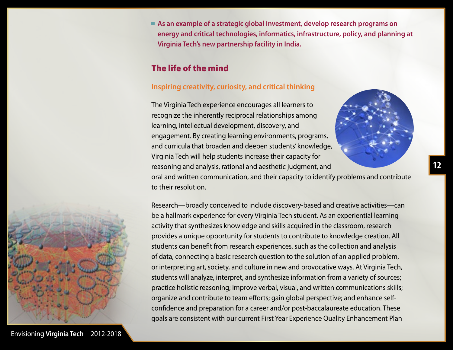<span id="page-13-0"></span>■ As an example of a strategic global investment, develop research programs on **energy and critical technologies, informatics, infrastructure, policy, and planning at Virginia Tech's new partnership facility in India.**

### The life of the mind

#### **Inspiring creativity, curiosity, and critical thinking**

The Virginia Tech experience encourages all learners to recognize the inherently reciprocal relationships among learning, intellectual development, discovery, and engagement. By creating learning environments, programs, and curricula that broaden and deepen students' knowledge, Virginia Tech will help students increase their capacity for reasoning and analysis, rational and aesthetic judgment, and



oral and written communication, and their capacity to identify problems and contribute to their resolution.

Research—broadly conceived to include discovery-based and creative activities—can be a hallmark experience for every Virginia Tech student. As an experiential learning activity that synthesizes knowledge and skills acquired in the classroom, research provides a unique opportunity for students to contribute to knowledge creation. All students can benefit from research experiences, such as the collection and analysis of data, connecting a basic research question to the solution of an applied problem, or interpreting art, society, and culture in new and provocative ways. At Virginia Tech, students will analyze, interpret, and synthesize information from a variety of sources; practice holistic reasoning; improve verbal, visual, and written communications skills; organize and contribute to team efforts; gain global perspective; and enhance selfconfidence and preparation for a career and/or post-baccalaureate education. These goals are consistent with our current First Year Experience Quality Enhancement Plan



Envisioning **[Virginia Tech](#page-1-0)** 2012-2018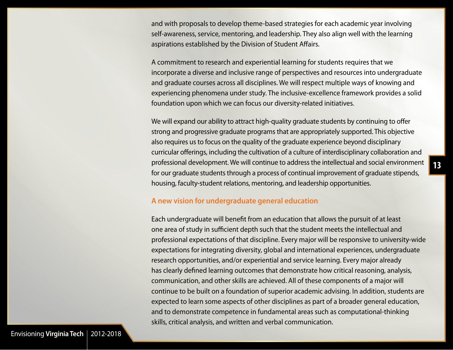<span id="page-14-0"></span>and with proposals to develop theme-based strategies for each academic year involving self-awareness, service, mentoring, and leadership. They also align well with the learning aspirations established by the Division of Student Affairs.

A commitment to research and experiential learning for students requires that we incorporate a diverse and inclusive range of perspectives and resources into undergraduate and graduate courses across all disciplines. We will respect multiple ways of knowing and experiencing phenomena under study. The inclusive-excellence framework provides a solid foundation upon which we can focus our diversity-related initiatives.

We will expand our ability to attract high-quality graduate students by continuing to offer strong and progressive graduate programs that are appropriately supported. This objective also requires us to focus on the quality of the graduate experience beyond disciplinary curricular offerings, including the cultivation of a culture of interdisciplinary collaboration and professional development. We will continue to address the intellectual and social environment for our graduate students through a process of continual improvement of graduate stipends, housing, faculty-student relations, mentoring, and leadership opportunities.

#### **A new vision for undergraduate general education**

Each undergraduate will benefit from an education that allows the pursuit of at least one area of study in sufficient depth such that the student meets the intellectual and professional expectations of that discipline. Every major will be responsive to university-wide expectations for integrating diversity, global and international experiences, undergraduate research opportunities, and/or experiential and service learning. Every major already has clearly defined learning outcomes that demonstrate how critical reasoning, analysis, communication, and other skills are achieved. All of these components of a major will continue to be built on a foundation of superior academic advising. In addition, students are expected to learn some aspects of other disciplines as part of a broader general education, and to demonstrate competence in fundamental areas such as computational-thinking skills, critical analysis, and written and verbal communication.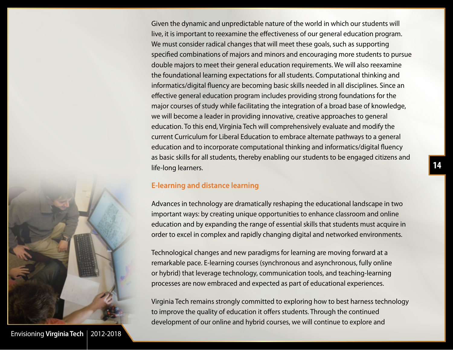<span id="page-15-0"></span>Given the dynamic and unpredictable nature of the world in which our students will live, it is important to reexamine the effectiveness of our general education program. We must consider radical changes that will meet these goals, such as supporting specified combinations of majors and minors and encouraging more students to pursue double majors to meet their general education requirements. We will also reexamine the foundational learning expectations for all students. Computational thinking and informatics/digital fluency are becoming basic skills needed in all disciplines. Since an effective general education program includes providing strong foundations for the major courses of study while facilitating the integration of a broad base of knowledge, we will become a leader in providing innovative, creative approaches to general education. To this end, Virginia Tech will comprehensively evaluate and modify the current Curriculum for Liberal Education to embrace alternate pathways to a general education and to incorporate computational thinking and informatics/digital fluency as basic skills for all students, thereby enabling our students to be engaged citizens and life-long learners.

#### **E-learning and distance learning**

Advances in technology are dramatically reshaping the educational landscape in two important ways: by creating unique opportunities to enhance classroom and online education and by expanding the range of essential skills that students must acquire in order to excel in complex and rapidly changing digital and networked environments.

Technological changes and new paradigms for learning are moving forward at a remarkable pace. E-learning courses (synchronous and asynchronous, fully online or hybrid) that leverage technology, communication tools, and teaching-learning processes are now embraced and expected as part of educational experiences.

Virginia Tech remains strongly committed to exploring how to best harness technology to improve the quality of education it offers students. Through the continued development of our online and hybrid courses, we will continue to explore and



Envisioning [Virginia Tech](#page-1-0) | 2012-2018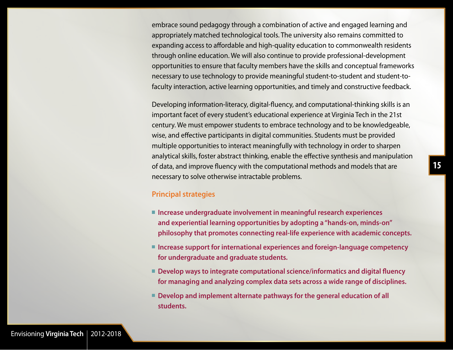<span id="page-16-0"></span>embrace sound pedagogy through a combination of active and engaged learning and appropriately matched technological tools. The university also remains committed to expanding access to affordable and high-quality education to commonwealth residents through online education. We will also continue to provide professional-development opportunities to ensure that faculty members have the skills and conceptual frameworks necessary to use technology to provide meaningful student-to-student and student-tofaculty interaction, active learning opportunities, and timely and constructive feedback.

Developing information-literacy, digital-fluency, and computational-thinking skills is an important facet of every student's educational experience at Virginia Tech in the 21st century. We must empower students to embrace technology and to be knowledgeable, wise, and effective participants in digital communities. Students must be provided multiple opportunities to interact meaningfully with technology in order to sharpen analytical skills, foster abstract thinking, enable the effective synthesis and manipulation of data, and improve fluency with the computational methods and models that are necessary to solve otherwise intractable problems.

#### **Principal strategies**

- Increase undergraduate involvement in meaningful research experiences **and experiential learning opportunities by adopting a "hands-on, minds-on" philosophy that promotes connecting real-life experience with academic concepts.**
- Increase support for international experiences and foreign-language competency **for undergraduate and graduate students.**
- Develop ways to integrate computational science/informatics and digital fluency **for managing and analyzing complex data sets across a wide range of disciplines.**
- Develop and implement alternate pathways for the general education of all **students.**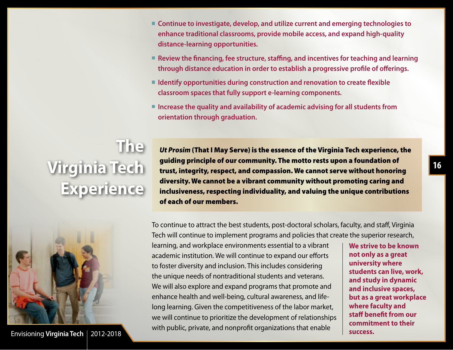- Continue to investigate, develop, and utilize current and emerging technologies to **enhance traditional classrooms, provide mobile access, and expand high-quality distance-learning opportunities.**
- Review the financing, fee structure, staffing, and incentives for teaching and learning **through distance education in order to establish a progressive profile of offerings.**
- Identify opportunities during construction and renovation to create flexible **classroom spaces that fully support e-learning components.**
- Increase the quality and availability of academic advising for all students from **orientation through graduation.**

# <span id="page-17-0"></span>**The Virginia Tech Experience**

*Ut Prosim* (That I May Serve) is the essence of the Virginia Tech experience, the guiding principle of our community. The motto rests upon a foundation of trust, integrity, respect, and compassion. We cannot serve without honoring diversity. We cannot be a vibrant community without promoting caring and inclusiveness, respecting individuality, and valuing the unique contributions of each of our members.



To continue to attract the best students, post-doctoral scholars, faculty, and staff, Virginia Tech will continue to implement programs and policies that create the superior research,

learning, and workplace environments essential to a vibrant academic institution. We will continue to expand our efforts to foster diversity and inclusion. This includes considering the unique needs of nontraditional students and veterans. We will also explore and expand programs that promote and enhance health and well-being, cultural awareness, and lifelong learning. Given the competitiveness of the labor market, we will continue to prioritize the development of relationships with public, private, and nonprofit organizations that enable

**We strive to be known not only as a great university where students can live, work, and study in dynamic and inclusive spaces, but as a great workplace where faculty and staff benefit from our commitment to their success.**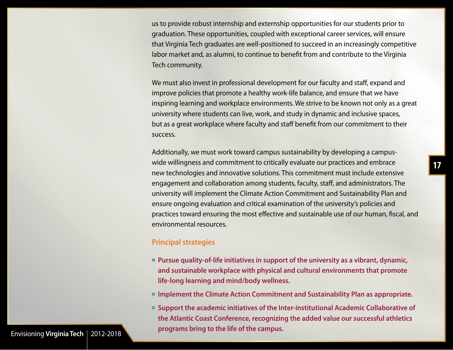<span id="page-18-0"></span>us to provide robust internship and externship opportunities for our students prior to graduation. These opportunities, coupled with exceptional career services, will ensure that Virginia Tech graduates are well-positioned to succeed in an increasingly competitive labor market and, as alumni, to continue to benefit from and contribute to the Virginia Tech community.

We must also invest in professional development for our faculty and staff, expand and improve policies that promote a healthy work-life balance, and ensure that we have inspiring learning and workplace environments. We strive to be known not only as a great university where students can live, work, and study in dynamic and inclusive spaces, but as a great workplace where faculty and staff benefit from our commitment to their success.

Additionally, we must work toward campus sustainability by developing a campuswide willingness and commitment to critically evaluate our practices and embrace new technologies and innovative solutions. This commitment must include extensive engagement and collaboration among students, faculty, staff, and administrators. The university will implement the Climate Action Commitment and Sustainability Plan and ensure ongoing evaluation and critical examination of the university's policies and practices toward ensuring the most effective and sustainable use of our human, fiscal, and environmental resources.

#### **Principal strategies**

- Pursue quality-of-life initiatives in support of the university as a vibrant, dynamic, **and sustainable workplace with physical and cultural environments that promote life-long learning and mind/body wellness.**
- **Implement the Climate Action Commitment and Sustainability Plan as appropriate.**
- Support the academic initiatives of the Inter-institutional Academic Collaborative of **the Atlantic Coast Conference, recognizing the added value our successful athletics programs bring to the life of the campus.**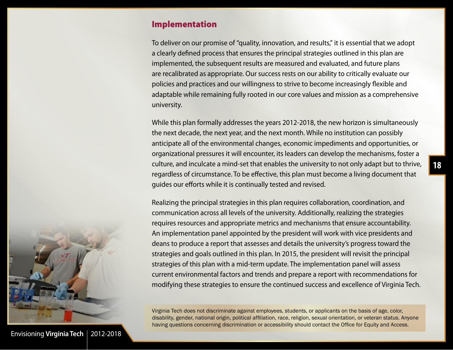#### <span id="page-19-0"></span>Implementation

To deliver on our promise of "quality, innovation, and results," it is essential that we adopt a clearly defined process that ensures the principal strategies outlined in this plan are implemented, the subsequent results are measured and evaluated, and future plans are recalibrated as appropriate. Our success rests on our ability to critically evaluate our policies and practices and our willingness to strive to become increasingly flexible and adaptable while remaining fully rooted in our core values and mission as a comprehensive university.

While this plan formally addresses the years 2012-2018, the new horizon is simultaneously the next decade, the next year, and the next month. While no institution can possibly anticipate all of the environmental changes, economic impediments and opportunities, or organizational pressures it will encounter, its leaders can develop the mechanisms, foster a culture, and inculcate a mind-set that enables the university to not only adapt but to thrive, regardless of circumstance. To be effective, this plan must become a living document that guides our efforts while it is continually tested and revised.

Realizing the principal strategies in this plan requires collaboration, coordination, and communication across all levels of the university. Additionally, realizing the strategies requires resources and appropriate metrics and mechanisms that ensure accountability. An implementation panel appointed by the president will work with vice presidents and deans to produce a report that assesses and details the university's progress toward the strategies and goals outlined in this plan. In 2015, the president will revisit the principal strategies of this plan with a mid-term update. The implementation panel will assess current environmental factors and trends and prepare a report with recommendations for modifying these strategies to ensure the continued success and excellence of Virginia Tech.

Virginia Tech does not discriminate against employees, students, or applicants on the basis of age, color, disability, gender, national origin, political affiliation, race, religion, sexual orientation, or veteran status. Anyone having questions concerning discrimination or accessibility should contact the Office for Equity and Access.



Envisioning [Virginia Tech](#page-1-0) | 2012-2018